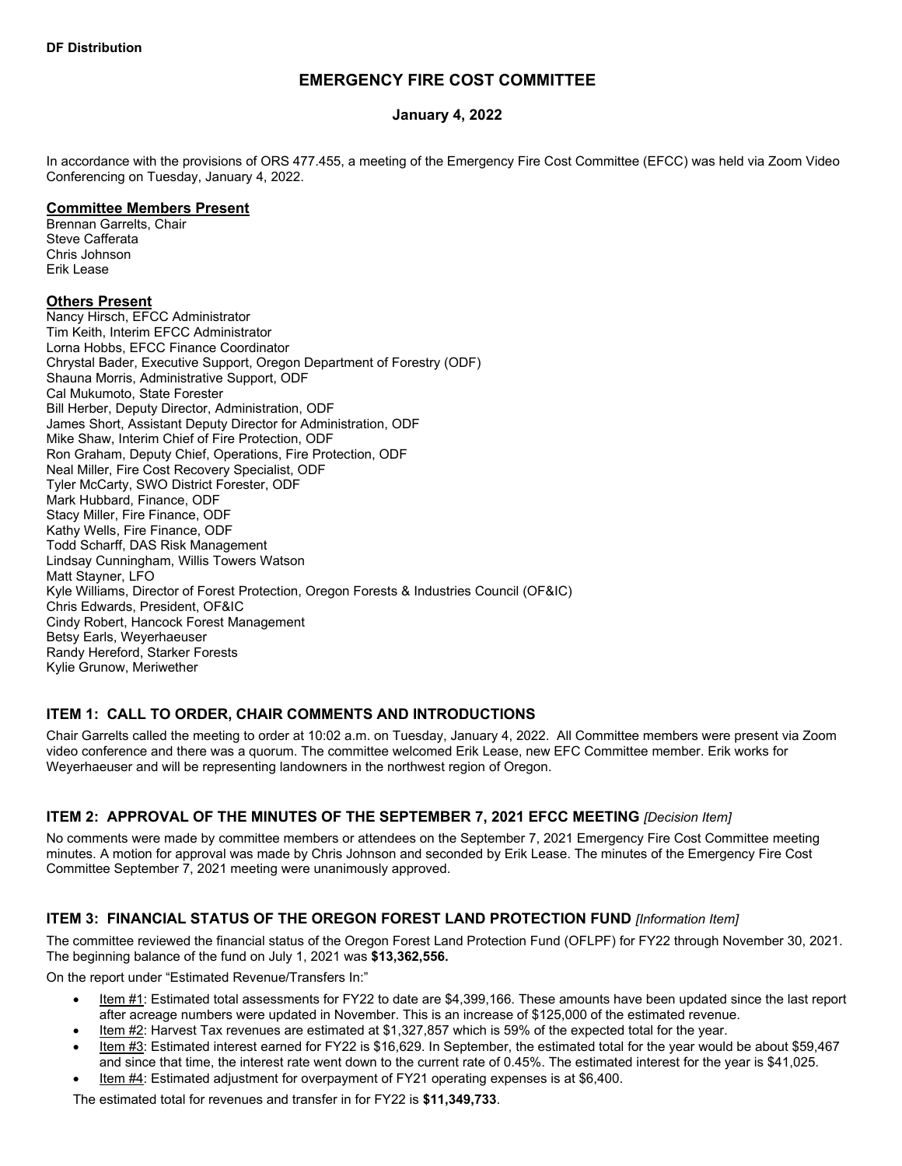# **EMERGENCY FIRE COST COMMITTEE**

### **January 4, 2022**

In accordance with the provisions of ORS 477.455, a meeting of the Emergency Fire Cost Committee (EFCC) was held via Zoom Video Conferencing on Tuesday, January 4, 2022.

### **Committee Members Present**

Brennan Garrelts, Chair Steve Cafferata Chris Johnson Erik Lease

### **Others Present**

Nancy Hirsch, EFCC Administrator Tim Keith, Interim EFCC Administrator Lorna Hobbs, EFCC Finance Coordinator Chrystal Bader, Executive Support, Oregon Department of Forestry (ODF) Shauna Morris, Administrative Support, ODF Cal Mukumoto, State Forester Bill Herber, Deputy Director, Administration, ODF James Short, Assistant Deputy Director for Administration, ODF Mike Shaw, Interim Chief of Fire Protection, ODF Ron Graham, Deputy Chief, Operations, Fire Protection, ODF Neal Miller, Fire Cost Recovery Specialist, ODF Tyler McCarty, SWO District Forester, ODF Mark Hubbard, Finance, ODF Stacy Miller, Fire Finance, ODF Kathy Wells, Fire Finance, ODF Todd Scharff, DAS Risk Management Lindsay Cunningham, Willis Towers Watson Matt Stayner, LFO Kyle Williams, Director of Forest Protection, Oregon Forests & Industries Council (OF&IC) Chris Edwards, President, OF&IC Cindy Robert, Hancock Forest Management Betsy Earls, Weyerhaeuser Randy Hereford, Starker Forests Kylie Grunow, Meriwether

### **ITEM 1: CALL TO ORDER, CHAIR COMMENTS AND INTRODUCTIONS**

Chair Garrelts called the meeting to order at 10:02 a.m. on Tuesday, January 4, 2022. All Committee members were present via Zoom video conference and there was a quorum. The committee welcomed Erik Lease, new EFC Committee member. Erik works for Weyerhaeuser and will be representing landowners in the northwest region of Oregon.

### **ITEM 2: APPROVAL OF THE MINUTES OF THE SEPTEMBER 7, 2021 EFCC MEETING** *[Decision Item]*

No comments were made by committee members or attendees on the September 7, 2021 Emergency Fire Cost Committee meeting minutes. A motion for approval was made by Chris Johnson and seconded by Erik Lease. The minutes of the Emergency Fire Cost Committee September 7, 2021 meeting were unanimously approved.

# **ITEM 3: FINANCIAL STATUS OF THE OREGON FOREST LAND PROTECTION FUND** *[Information Item]*

The committee reviewed the financial status of the Oregon Forest Land Protection Fund (OFLPF) for FY22 through November 30, 2021. The beginning balance of the fund on July 1, 2021 was **\$13,362,556.**

On the report under "Estimated Revenue/Transfers In:"

- Item #1: Estimated total assessments for FY22 to date are \$4,399,166. These amounts have been updated since the last report after acreage numbers were updated in November. This is an increase of \$125,000 of the estimated revenue.
- Item #2: Harvest Tax revenues are estimated at \$1,327,857 which is 59% of the expected total for the year.
- Item #3: Estimated interest earned for FY22 is \$16,629. In September, the estimated total for the year would be about \$59,467 and since that time, the interest rate went down to the current rate of 0.45%. The estimated interest for the year is \$41,025.
- Item #4: Estimated adjustment for overpayment of FY21 operating expenses is at \$6,400.

The estimated total for revenues and transfer in for FY22 is **\$11,349,733**.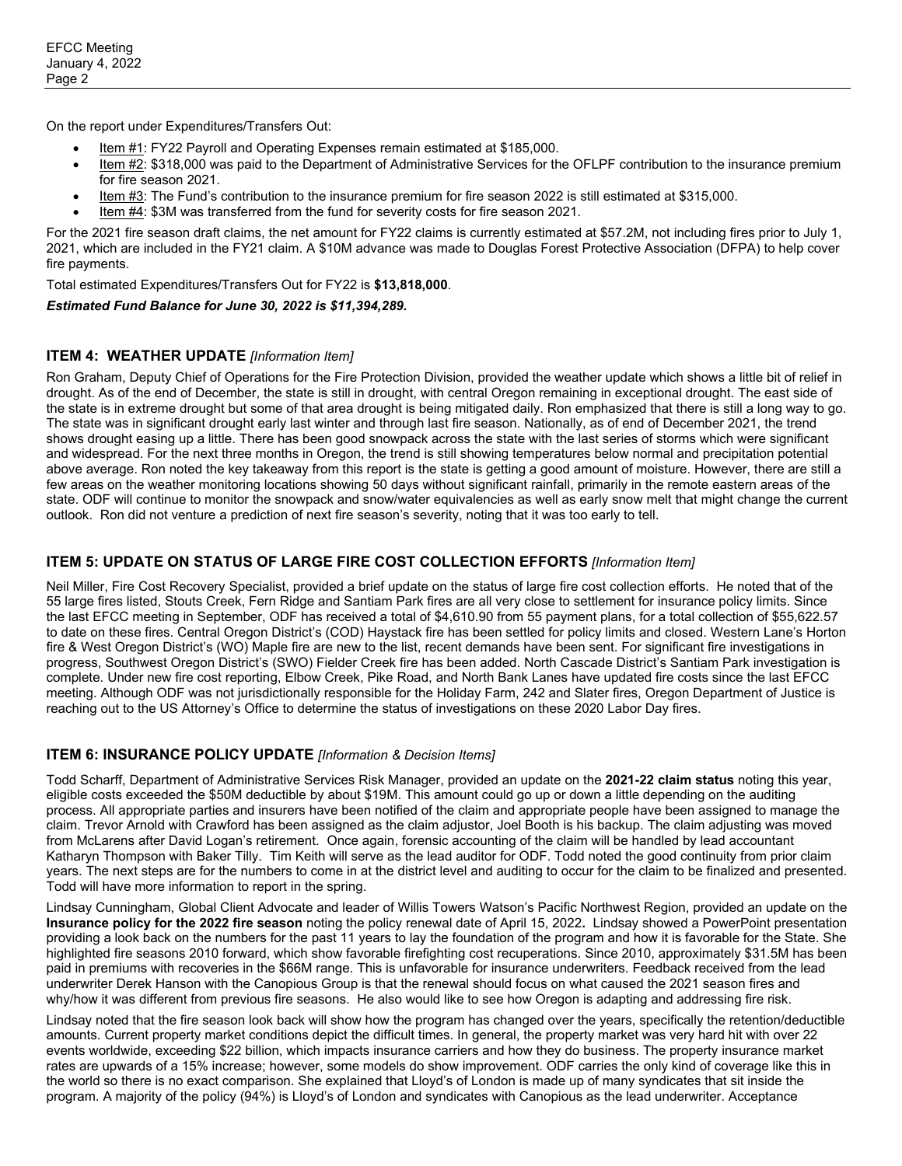On the report under Expenditures/Transfers Out:

- Item #1: FY22 Payroll and Operating Expenses remain estimated at \$185,000.
- Item #2: \$318,000 was paid to the Department of Administrative Services for the OFLPF contribution to the insurance premium for fire season 2021.
- Item #3: The Fund's contribution to the insurance premium for fire season 2022 is still estimated at \$315,000.
- Item #4: \$3M was transferred from the fund for severity costs for fire season 2021.

For the 2021 fire season draft claims, the net amount for FY22 claims is currently estimated at \$57.2M, not including fires prior to July 1, 2021, which are included in the FY21 claim. A \$10M advance was made to Douglas Forest Protective Association (DFPA) to help cover fire payments.

Total estimated Expenditures/Transfers Out for FY22 is **\$13,818,000**.

#### *Estimated Fund Balance for June 30, 2022 is \$11,394,289.*

### **ITEM 4: WEATHER UPDATE** *[Information Item]*

Ron Graham, Deputy Chief of Operations for the Fire Protection Division, provided the weather update which shows a little bit of relief in drought. As of the end of December, the state is still in drought, with central Oregon remaining in exceptional drought. The east side of the state is in extreme drought but some of that area drought is being mitigated daily. Ron emphasized that there is still a long way to go. The state was in significant drought early last winter and through last fire season. Nationally, as of end of December 2021, the trend shows drought easing up a little. There has been good snowpack across the state with the last series of storms which were significant and widespread. For the next three months in Oregon, the trend is still showing temperatures below normal and precipitation potential above average. Ron noted the key takeaway from this report is the state is getting a good amount of moisture. However, there are still a few areas on the weather monitoring locations showing 50 days without significant rainfall, primarily in the remote eastern areas of the state. ODF will continue to monitor the snowpack and snow/water equivalencies as well as early snow melt that might change the current outlook. Ron did not venture a prediction of next fire season's severity, noting that it was too early to tell.

### **ITEM 5: UPDATE ON STATUS OF LARGE FIRE COST COLLECTION EFFORTS** *[Information Item]*

Neil Miller, Fire Cost Recovery Specialist, provided a brief update on the status of large fire cost collection efforts. He noted that of the 55 large fires listed, Stouts Creek, Fern Ridge and Santiam Park fires are all very close to settlement for insurance policy limits. Since the last EFCC meeting in September, ODF has received a total of \$4,610.90 from 55 payment plans, for a total collection of \$55,622.57 to date on these fires. Central Oregon District's (COD) Haystack fire has been settled for policy limits and closed. Western Lane's Horton fire & West Oregon District's (WO) Maple fire are new to the list, recent demands have been sent. For significant fire investigations in progress, Southwest Oregon District's (SWO) Fielder Creek fire has been added. North Cascade District's Santiam Park investigation is complete. Under new fire cost reporting, Elbow Creek, Pike Road, and North Bank Lanes have updated fire costs since the last EFCC meeting. Although ODF was not jurisdictionally responsible for the Holiday Farm, 242 and Slater fires, Oregon Department of Justice is reaching out to the US Attorney's Office to determine the status of investigations on these 2020 Labor Day fires.

### **ITEM 6: INSURANCE POLICY UPDATE** *[Information & Decision Items]*

Todd Scharff, Department of Administrative Services Risk Manager, provided an update on the **2021-22 claim status** noting this year, eligible costs exceeded the \$50M deductible by about \$19M. This amount could go up or down a little depending on the auditing process. All appropriate parties and insurers have been notified of the claim and appropriate people have been assigned to manage the claim. Trevor Arnold with Crawford has been assigned as the claim adjustor, Joel Booth is his backup. The claim adjusting was moved from McLarens after David Logan's retirement. Once again, forensic accounting of the claim will be handled by lead accountant Katharyn Thompson with Baker Tilly. Tim Keith will serve as the lead auditor for ODF. Todd noted the good continuity from prior claim years. The next steps are for the numbers to come in at the district level and auditing to occur for the claim to be finalized and presented. Todd will have more information to report in the spring.

Lindsay Cunningham, Global Client Advocate and leader of Willis Towers Watson's Pacific Northwest Region, provided an update on the **Insurance policy for the 2022 fire season** noting the policy renewal date of April 15, 2022**.** Lindsay showed a PowerPoint presentation providing a look back on the numbers for the past 11 years to lay the foundation of the program and how it is favorable for the State. She highlighted fire seasons 2010 forward, which show favorable firefighting cost recuperations. Since 2010, approximately \$31.5M has been paid in premiums with recoveries in the \$66M range. This is unfavorable for insurance underwriters. Feedback received from the lead underwriter Derek Hanson with the Canopious Group is that the renewal should focus on what caused the 2021 season fires and why/how it was different from previous fire seasons. He also would like to see how Oregon is adapting and addressing fire risk.

Lindsay noted that the fire season look back will show how the program has changed over the years, specifically the retention/deductible amounts. Current property market conditions depict the difficult times. In general, the property market was very hard hit with over 22 events worldwide, exceeding \$22 billion, which impacts insurance carriers and how they do business. The property insurance market rates are upwards of a 15% increase; however, some models do show improvement. ODF carries the only kind of coverage like this in the world so there is no exact comparison. She explained that Lloyd's of London is made up of many syndicates that sit inside the program. A majority of the policy (94%) is Lloyd's of London and syndicates with Canopious as the lead underwriter. Acceptance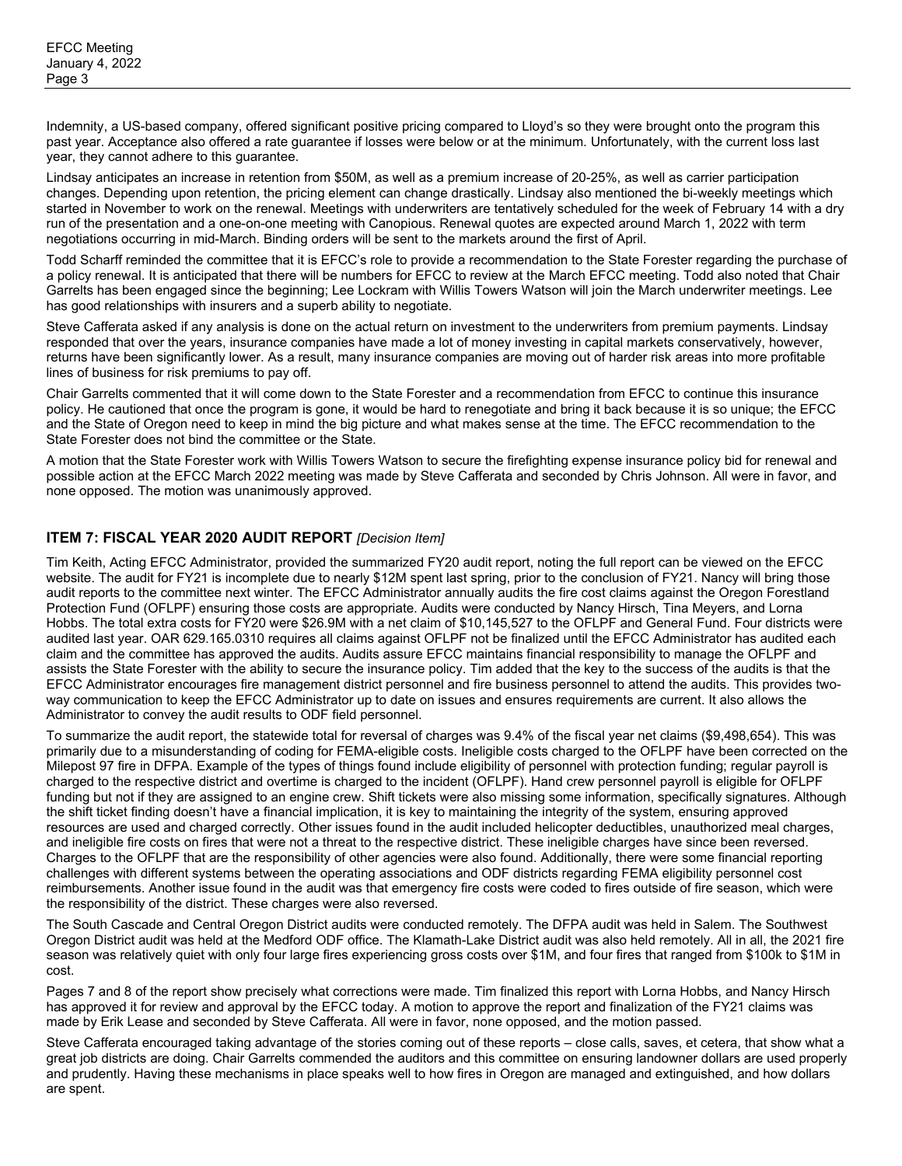Indemnity, a US-based company, offered significant positive pricing compared to Lloyd's so they were brought onto the program this past year. Acceptance also offered a rate guarantee if losses were below or at the minimum. Unfortunately, with the current loss last year, they cannot adhere to this guarantee.

Lindsay anticipates an increase in retention from \$50M, as well as a premium increase of 20-25%, as well as carrier participation changes. Depending upon retention, the pricing element can change drastically. Lindsay also mentioned the bi-weekly meetings which started in November to work on the renewal. Meetings with underwriters are tentatively scheduled for the week of February 14 with a dry run of the presentation and a one-on-one meeting with Canopious. Renewal quotes are expected around March 1, 2022 with term negotiations occurring in mid-March. Binding orders will be sent to the markets around the first of April.

Todd Scharff reminded the committee that it is EFCC's role to provide a recommendation to the State Forester regarding the purchase of a policy renewal. It is anticipated that there will be numbers for EFCC to review at the March EFCC meeting. Todd also noted that Chair Garrelts has been engaged since the beginning; Lee Lockram with Willis Towers Watson will join the March underwriter meetings. Lee has good relationships with insurers and a superb ability to negotiate.

Steve Cafferata asked if any analysis is done on the actual return on investment to the underwriters from premium payments. Lindsay responded that over the years, insurance companies have made a lot of money investing in capital markets conservatively, however, returns have been significantly lower. As a result, many insurance companies are moving out of harder risk areas into more profitable lines of business for risk premiums to pay off.

Chair Garrelts commented that it will come down to the State Forester and a recommendation from EFCC to continue this insurance policy. He cautioned that once the program is gone, it would be hard to renegotiate and bring it back because it is so unique; the EFCC and the State of Oregon need to keep in mind the big picture and what makes sense at the time. The EFCC recommendation to the State Forester does not bind the committee or the State.

A motion that the State Forester work with Willis Towers Watson to secure the firefighting expense insurance policy bid for renewal and possible action at the EFCC March 2022 meeting was made by Steve Cafferata and seconded by Chris Johnson. All were in favor, and none opposed. The motion was unanimously approved.

# **ITEM 7: FISCAL YEAR 2020 AUDIT REPORT** *[Decision Item]*

Tim Keith, Acting EFCC Administrator, provided the summarized FY20 audit report, noting the full report can be viewed on the EFCC website. The audit for FY21 is incomplete due to nearly \$12M spent last spring, prior to the conclusion of FY21. Nancy will bring those audit reports to the committee next winter. The EFCC Administrator annually audits the fire cost claims against the Oregon Forestland Protection Fund (OFLPF) ensuring those costs are appropriate. Audits were conducted by Nancy Hirsch, Tina Meyers, and Lorna Hobbs. The total extra costs for FY20 were \$26.9M with a net claim of \$10,145,527 to the OFLPF and General Fund. Four districts were audited last year. OAR 629.165.0310 requires all claims against OFLPF not be finalized until the EFCC Administrator has audited each claim and the committee has approved the audits. Audits assure EFCC maintains financial responsibility to manage the OFLPF and assists the State Forester with the ability to secure the insurance policy. Tim added that the key to the success of the audits is that the EFCC Administrator encourages fire management district personnel and fire business personnel to attend the audits. This provides twoway communication to keep the EFCC Administrator up to date on issues and ensures requirements are current. It also allows the Administrator to convey the audit results to ODF field personnel.

To summarize the audit report, the statewide total for reversal of charges was 9.4% of the fiscal year net claims (\$9,498,654). This was primarily due to a misunderstanding of coding for FEMA-eligible costs. Ineligible costs charged to the OFLPF have been corrected on the Milepost 97 fire in DFPA. Example of the types of things found include eligibility of personnel with protection funding; regular payroll is charged to the respective district and overtime is charged to the incident (OFLPF). Hand crew personnel payroll is eligible for OFLPF funding but not if they are assigned to an engine crew. Shift tickets were also missing some information, specifically signatures. Although the shift ticket finding doesn't have a financial implication, it is key to maintaining the integrity of the system, ensuring approved resources are used and charged correctly. Other issues found in the audit included helicopter deductibles, unauthorized meal charges, and ineligible fire costs on fires that were not a threat to the respective district. These ineligible charges have since been reversed. Charges to the OFLPF that are the responsibility of other agencies were also found. Additionally, there were some financial reporting challenges with different systems between the operating associations and ODF districts regarding FEMA eligibility personnel cost reimbursements. Another issue found in the audit was that emergency fire costs were coded to fires outside of fire season, which were the responsibility of the district. These charges were also reversed.

The South Cascade and Central Oregon District audits were conducted remotely. The DFPA audit was held in Salem. The Southwest Oregon District audit was held at the Medford ODF office. The Klamath-Lake District audit was also held remotely. All in all, the 2021 fire season was relatively quiet with only four large fires experiencing gross costs over \$1M, and four fires that ranged from \$100k to \$1M in cost.

Pages 7 and 8 of the report show precisely what corrections were made. Tim finalized this report with Lorna Hobbs, and Nancy Hirsch has approved it for review and approval by the EFCC today. A motion to approve the report and finalization of the FY21 claims was made by Erik Lease and seconded by Steve Cafferata. All were in favor, none opposed, and the motion passed.

Steve Cafferata encouraged taking advantage of the stories coming out of these reports – close calls, saves, et cetera, that show what a great job districts are doing. Chair Garrelts commended the auditors and this committee on ensuring landowner dollars are used properly and prudently. Having these mechanisms in place speaks well to how fires in Oregon are managed and extinguished, and how dollars are spent.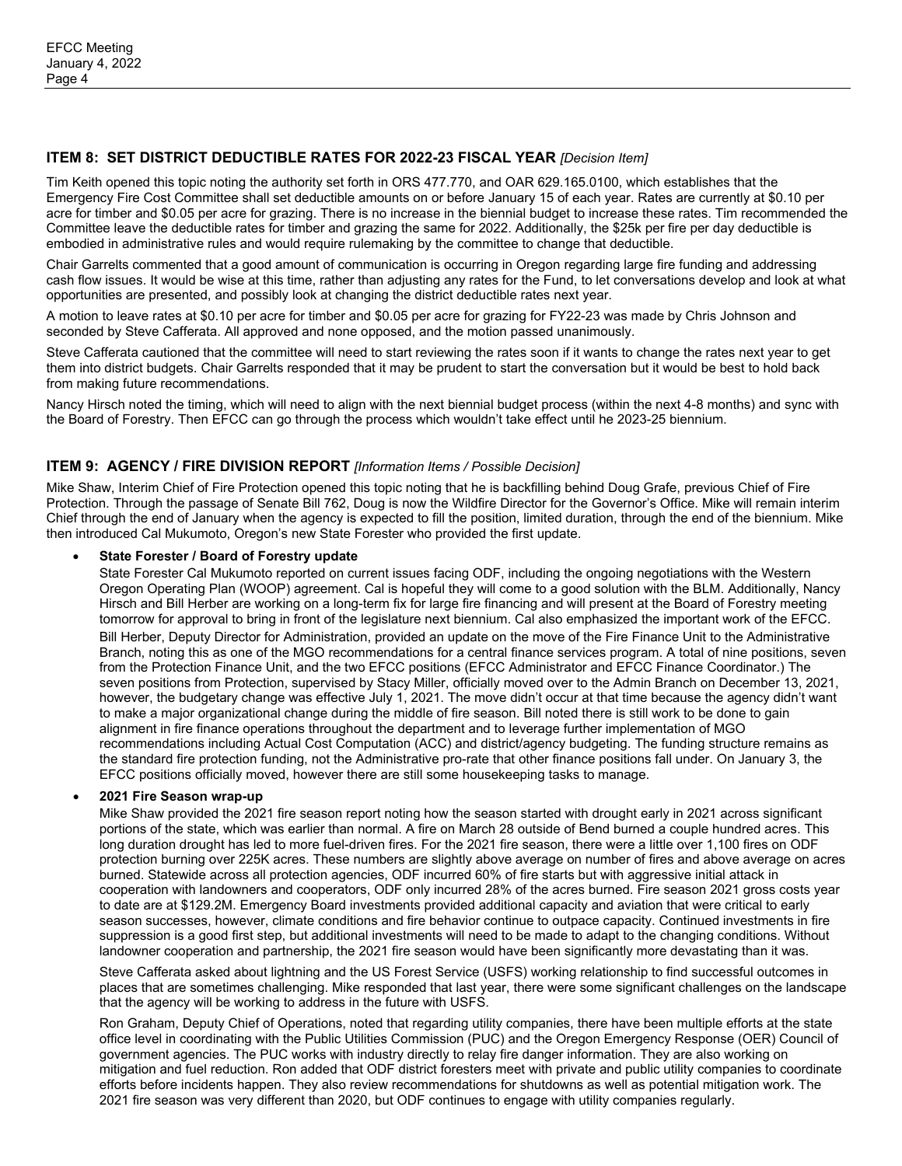# **ITEM 8: SET DISTRICT DEDUCTIBLE RATES FOR 2022-23 FISCAL YEAR** *[Decision Item]*

Tim Keith opened this topic noting the authority set forth in ORS 477.770, and OAR 629.165.0100, which establishes that the Emergency Fire Cost Committee shall set deductible amounts on or before January 15 of each year. Rates are currently at \$0.10 per acre for timber and \$0.05 per acre for grazing. There is no increase in the biennial budget to increase these rates. Tim recommended the Committee leave the deductible rates for timber and grazing the same for 2022. Additionally, the \$25k per fire per day deductible is embodied in administrative rules and would require rulemaking by the committee to change that deductible.

Chair Garrelts commented that a good amount of communication is occurring in Oregon regarding large fire funding and addressing cash flow issues. It would be wise at this time, rather than adjusting any rates for the Fund, to let conversations develop and look at what opportunities are presented, and possibly look at changing the district deductible rates next year.

A motion to leave rates at \$0.10 per acre for timber and \$0.05 per acre for grazing for FY22-23 was made by Chris Johnson and seconded by Steve Cafferata. All approved and none opposed, and the motion passed unanimously.

Steve Cafferata cautioned that the committee will need to start reviewing the rates soon if it wants to change the rates next year to get them into district budgets. Chair Garrelts responded that it may be prudent to start the conversation but it would be best to hold back from making future recommendations.

Nancy Hirsch noted the timing, which will need to align with the next biennial budget process (within the next 4-8 months) and sync with the Board of Forestry. Then EFCC can go through the process which wouldn't take effect until he 2023-25 biennium.

### **ITEM 9: AGENCY / FIRE DIVISION REPORT** *[Information Items / Possible Decision]*

Mike Shaw, Interim Chief of Fire Protection opened this topic noting that he is backfilling behind Doug Grafe, previous Chief of Fire Protection. Through the passage of Senate Bill 762, Doug is now the Wildfire Director for the Governor's Office. Mike will remain interim Chief through the end of January when the agency is expected to fill the position, limited duration, through the end of the biennium. Mike then introduced Cal Mukumoto, Oregon's new State Forester who provided the first update.

#### • **State Forester / Board of Forestry update**

State Forester Cal Mukumoto reported on current issues facing ODF, including the ongoing negotiations with the Western Oregon Operating Plan (WOOP) agreement. Cal is hopeful they will come to a good solution with the BLM. Additionally, Nancy Hirsch and Bill Herber are working on a long-term fix for large fire financing and will present at the Board of Forestry meeting tomorrow for approval to bring in front of the legislature next biennium. Cal also emphasized the important work of the EFCC. Bill Herber, Deputy Director for Administration, provided an update on the move of the Fire Finance Unit to the Administrative Branch, noting this as one of the MGO recommendations for a central finance services program. A total of nine positions, seven from the Protection Finance Unit, and the two EFCC positions (EFCC Administrator and EFCC Finance Coordinator.) The seven positions from Protection, supervised by Stacy Miller, officially moved over to the Admin Branch on December 13, 2021, however, the budgetary change was effective July 1, 2021. The move didn't occur at that time because the agency didn't want to make a major organizational change during the middle of fire season. Bill noted there is still work to be done to gain alignment in fire finance operations throughout the department and to leverage further implementation of MGO recommendations including Actual Cost Computation (ACC) and district/agency budgeting. The funding structure remains as the standard fire protection funding, not the Administrative pro-rate that other finance positions fall under. On January 3, the EFCC positions officially moved, however there are still some housekeeping tasks to manage.

### • **2021 Fire Season wrap-up**

Mike Shaw provided the 2021 fire season report noting how the season started with drought early in 2021 across significant portions of the state, which was earlier than normal. A fire on March 28 outside of Bend burned a couple hundred acres. This long duration drought has led to more fuel-driven fires. For the 2021 fire season, there were a little over 1,100 fires on ODF protection burning over 225K acres. These numbers are slightly above average on number of fires and above average on acres burned. Statewide across all protection agencies, ODF incurred 60% of fire starts but with aggressive initial attack in cooperation with landowners and cooperators, ODF only incurred 28% of the acres burned. Fire season 2021 gross costs year to date are at \$129.2M. Emergency Board investments provided additional capacity and aviation that were critical to early season successes, however, climate conditions and fire behavior continue to outpace capacity. Continued investments in fire suppression is a good first step, but additional investments will need to be made to adapt to the changing conditions. Without landowner cooperation and partnership, the 2021 fire season would have been significantly more devastating than it was.

Steve Cafferata asked about lightning and the US Forest Service (USFS) working relationship to find successful outcomes in places that are sometimes challenging. Mike responded that last year, there were some significant challenges on the landscape that the agency will be working to address in the future with USFS.

Ron Graham, Deputy Chief of Operations, noted that regarding utility companies, there have been multiple efforts at the state office level in coordinating with the Public Utilities Commission (PUC) and the Oregon Emergency Response (OER) Council of government agencies. The PUC works with industry directly to relay fire danger information. They are also working on mitigation and fuel reduction. Ron added that ODF district foresters meet with private and public utility companies to coordinate efforts before incidents happen. They also review recommendations for shutdowns as well as potential mitigation work. The 2021 fire season was very different than 2020, but ODF continues to engage with utility companies regularly.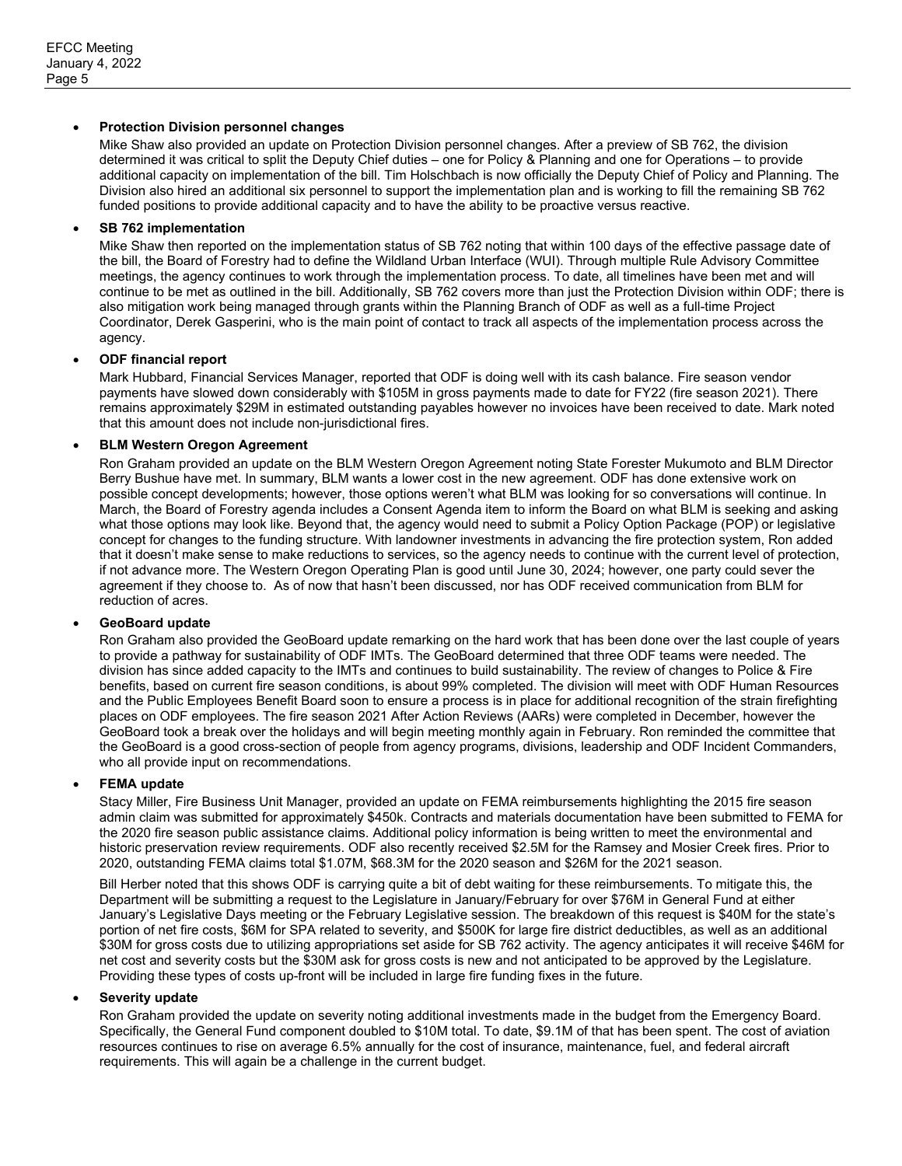### • **Protection Division personnel changes**

Mike Shaw also provided an update on Protection Division personnel changes. After a preview of SB 762, the division determined it was critical to split the Deputy Chief duties – one for Policy & Planning and one for Operations – to provide additional capacity on implementation of the bill. Tim Holschbach is now officially the Deputy Chief of Policy and Planning. The Division also hired an additional six personnel to support the implementation plan and is working to fill the remaining SB 762 funded positions to provide additional capacity and to have the ability to be proactive versus reactive.

### • **SB 762 implementation**

Mike Shaw then reported on the implementation status of SB 762 noting that within 100 days of the effective passage date of the bill, the Board of Forestry had to define the Wildland Urban Interface (WUI). Through multiple Rule Advisory Committee meetings, the agency continues to work through the implementation process. To date, all timelines have been met and will continue to be met as outlined in the bill. Additionally, SB 762 covers more than just the Protection Division within ODF; there is also mitigation work being managed through grants within the Planning Branch of ODF as well as a full-time Project Coordinator, Derek Gasperini, who is the main point of contact to track all aspects of the implementation process across the agency.

### • **ODF financial report**

Mark Hubbard, Financial Services Manager, reported that ODF is doing well with its cash balance. Fire season vendor payments have slowed down considerably with \$105M in gross payments made to date for FY22 (fire season 2021). There remains approximately \$29M in estimated outstanding payables however no invoices have been received to date. Mark noted that this amount does not include non-jurisdictional fires.

### • **BLM Western Oregon Agreement**

Ron Graham provided an update on the BLM Western Oregon Agreement noting State Forester Mukumoto and BLM Director Berry Bushue have met. In summary, BLM wants a lower cost in the new agreement. ODF has done extensive work on possible concept developments; however, those options weren't what BLM was looking for so conversations will continue. In March, the Board of Forestry agenda includes a Consent Agenda item to inform the Board on what BLM is seeking and asking what those options may look like. Beyond that, the agency would need to submit a Policy Option Package (POP) or legislative concept for changes to the funding structure. With landowner investments in advancing the fire protection system, Ron added that it doesn't make sense to make reductions to services, so the agency needs to continue with the current level of protection, if not advance more. The Western Oregon Operating Plan is good until June 30, 2024; however, one party could sever the agreement if they choose to. As of now that hasn't been discussed, nor has ODF received communication from BLM for reduction of acres.

#### • **GeoBoard update**

Ron Graham also provided the GeoBoard update remarking on the hard work that has been done over the last couple of years to provide a pathway for sustainability of ODF IMTs. The GeoBoard determined that three ODF teams were needed. The division has since added capacity to the IMTs and continues to build sustainability. The review of changes to Police & Fire benefits, based on current fire season conditions, is about 99% completed. The division will meet with ODF Human Resources and the Public Employees Benefit Board soon to ensure a process is in place for additional recognition of the strain firefighting places on ODF employees. The fire season 2021 After Action Reviews (AARs) were completed in December, however the GeoBoard took a break over the holidays and will begin meeting monthly again in February. Ron reminded the committee that the GeoBoard is a good cross-section of people from agency programs, divisions, leadership and ODF Incident Commanders, who all provide input on recommendations.

#### • **FEMA update**

Stacy Miller, Fire Business Unit Manager, provided an update on FEMA reimbursements highlighting the 2015 fire season admin claim was submitted for approximately \$450k. Contracts and materials documentation have been submitted to FEMA for the 2020 fire season public assistance claims. Additional policy information is being written to meet the environmental and historic preservation review requirements. ODF also recently received \$2.5M for the Ramsey and Mosier Creek fires. Prior to 2020, outstanding FEMA claims total \$1.07M, \$68.3M for the 2020 season and \$26M for the 2021 season.

Bill Herber noted that this shows ODF is carrying quite a bit of debt waiting for these reimbursements. To mitigate this, the Department will be submitting a request to the Legislature in January/February for over \$76M in General Fund at either January's Legislative Days meeting or the February Legislative session. The breakdown of this request is \$40M for the state's portion of net fire costs, \$6M for SPA related to severity, and \$500K for large fire district deductibles, as well as an additional \$30M for gross costs due to utilizing appropriations set aside for SB 762 activity. The agency anticipates it will receive \$46M for net cost and severity costs but the \$30M ask for gross costs is new and not anticipated to be approved by the Legislature. Providing these types of costs up-front will be included in large fire funding fixes in the future.

### • **Severity update**

Ron Graham provided the update on severity noting additional investments made in the budget from the Emergency Board. Specifically, the General Fund component doubled to \$10M total. To date, \$9.1M of that has been spent. The cost of aviation resources continues to rise on average 6.5% annually for the cost of insurance, maintenance, fuel, and federal aircraft requirements. This will again be a challenge in the current budget.